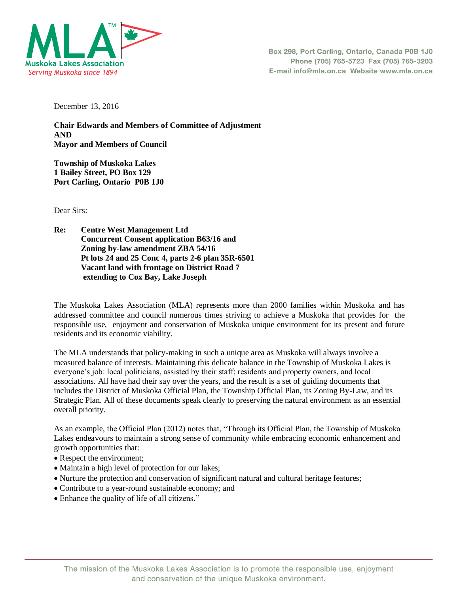

December 13, 2016

**Chair Edwards and Members of Committee of Adjustment AND Mayor and Members of Council** 

**Township of Muskoka Lakes 1 Bailey Street, PO Box 129 Port Carling, Ontario P0B 1J0**

Dear Sirs:

**Re: Centre West Management Ltd Concurrent Consent application B63/16 and Zoning by-law amendment ZBA 54/16 Pt lots 24 and 25 Conc 4, parts 2-6 plan 35R-6501 Vacant land with frontage on District Road 7 extending to Cox Bay, Lake Joseph** 

The Muskoka Lakes Association (MLA) represents more than 2000 families within Muskoka and has addressed committee and council numerous times striving to achieve a Muskoka that provides for the responsible use, enjoyment and conservation of Muskoka unique environment for its present and future residents and its economic viability.

The MLA understands that policy-making in such a unique area as Muskoka will always involve a measured balance of interests. Maintaining this delicate balance in the Township of Muskoka Lakes is everyone's job: local politicians, assisted by their staff; residents and property owners, and local associations. All have had their say over the years, and the result is a set of guiding documents that includes the District of Muskoka Official Plan, the Township Official Plan, its Zoning By-Law, and its Strategic Plan. All of these documents speak clearly to preserving the natural environment as an essential overall priority.

As an example, the Official Plan (2012) notes that, "Through its Official Plan, the Township of Muskoka Lakes endeavours to maintain a strong sense of community while embracing economic enhancement and growth opportunities that:

- Respect the environment;
- Maintain a high level of protection for our lakes;
- Nurture the protection and conservation of significant natural and cultural heritage features;
- Contribute to a year-round sustainable economy; and
- Enhance the quality of life of all citizens."